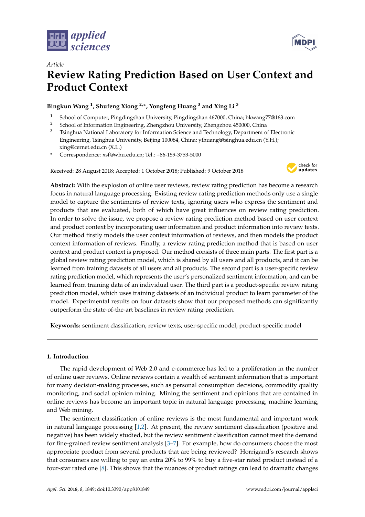



# *Article* **Review Rating Prediction Based on User Context and Product Context**

**Bingkun Wang <sup>1</sup> , Shufeng Xiong 2,\*, Yongfeng Huang <sup>3</sup> and Xing Li <sup>3</sup>**

- <sup>1</sup> School of Computer, Pingdingshan University, Pingdingshan 467000, China; bkwang77@163.com
- <sup>2</sup> School of Information Engineering, Zhengzhou University, Zhengzhou 450000, China<br><sup>3</sup> Teinghua National Laboratory for Information Science and Technology, Department o
- <sup>3</sup> Tsinghua National Laboratory for Information Science and Technology, Department of Electronic Engineering, Tsinghua University, Beijing 100084, China; yfhuang@tsinghua.edu.cn (Y.H.); xing@cernet.edu.cn (X.L.)
- **\*** Correspondence: xsf@whu.edu.cn; Tel.: +86-159-3753-5000

Received: 28 August 2018; Accepted: 1 October 2018; Published: 9 October 2018



**Abstract:** With the explosion of online user reviews, review rating prediction has become a research focus in natural language processing. Existing review rating prediction methods only use a single model to capture the sentiments of review texts, ignoring users who express the sentiment and products that are evaluated, both of which have great influences on review rating prediction. In order to solve the issue, we propose a review rating prediction method based on user context and product context by incorporating user information and product information into review texts. Our method firstly models the user context information of reviews, and then models the product context information of reviews. Finally, a review rating prediction method that is based on user context and product context is proposed. Our method consists of three main parts. The first part is a global review rating prediction model, which is shared by all users and all products, and it can be learned from training datasets of all users and all products. The second part is a user-specific review rating prediction model, which represents the user's personalized sentiment information, and can be learned from training data of an individual user. The third part is a product-specific review rating prediction model, which uses training datasets of an individual product to learn parameter of the model. Experimental results on four datasets show that our proposed methods can significantly outperform the state-of-the-art baselines in review rating prediction.

**Keywords:** sentiment classification; review texts; user-specific model; product-specific model

# **1. Introduction**

The rapid development of Web 2.0 and e-commerce has led to a proliferation in the number of online user reviews. Online reviews contain a wealth of sentiment information that is important for many decision-making processes, such as personal consumption decisions, commodity quality monitoring, and social opinion mining. Mining the sentiment and opinions that are contained in online reviews has become an important topic in natural language processing, machine learning, and Web mining.

The sentiment classification of online reviews is the most fundamental and important work in natural language processing [\[1,](#page-11-0)[2\]](#page-11-1). At present, the review sentiment classification (positive and negative) has been widely studied, but the review sentiment classification cannot meet the demand for fine-grained review sentiment analysis [\[3–](#page-11-2)[7\]](#page-11-3). For example, how do consumers choose the most appropriate product from several products that are being reviewed? Horrigand's research shows that consumers are willing to pay an extra 20% to 99% to buy a five-star rated product instead of a four-star rated one [\[8\]](#page-11-4). This shows that the nuances of product ratings can lead to dramatic changes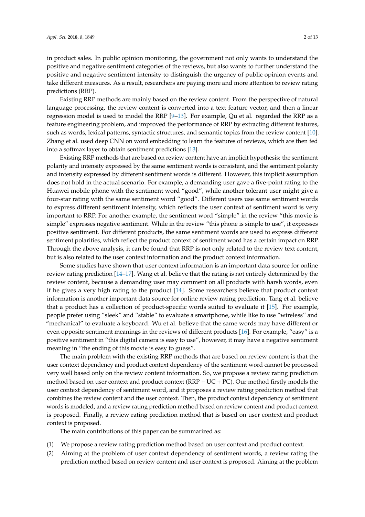in product sales. In public opinion monitoring, the government not only wants to understand the positive and negative sentiment categories of the reviews, but also wants to further understand the positive and negative sentiment intensity to distinguish the urgency of public opinion events and take different measures. As a result, researchers are paying more and more attention to review rating predictions (RRP).

Existing RRP methods are mainly based on the review content. From the perspective of natural language processing, the review content is converted into a text feature vector, and then a linear regression model is used to model the RRP [\[9–](#page-11-5)[13\]](#page-11-6). For example, Qu et al. regarded the RRP as a feature engineering problem, and improved the performance of RRP by extracting different features, such as words, lexical patterns, syntactic structures, and semantic topics from the review content [\[10\]](#page-11-7). Zhang et al. used deep CNN on word embedding to learn the features of reviews, which are then fed into a softmax layer to obtain sentiment predictions [\[13\]](#page-11-6).

Existing RRP methods that are based on review content have an implicit hypothesis: the sentiment polarity and intensity expressed by the same sentiment words is consistent, and the sentiment polarity and intensity expressed by different sentiment words is different. However, this implicit assumption does not hold in the actual scenario. For example, a demanding user gave a five-point rating to the Huawei mobile phone with the sentiment word "good", while another tolerant user might give a four-star rating with the same sentiment word "good". Different users use same sentiment words to express different sentiment intensity, which reflects the user context of sentiment word is very important to RRP. For another example, the sentiment word "simple" in the review "this movie is simple" expresses negative sentiment. While in the review "this phone is simple to use", it expresses positive sentiment. For different products, the same sentiment words are used to express different sentiment polarities, which reflect the product context of sentiment word has a certain impact on RRP. Through the above analysis, it can be found that RRP is not only related to the review text content, but is also related to the user context information and the product context information.

Some studies have shown that user context information is an important data source for online review rating prediction [\[14–](#page-11-8)[17\]](#page-11-9). Wang et al. believe that the rating is not entirely determined by the review content, because a demanding user may comment on all products with harsh words, even if he gives a very high rating to the product [\[14\]](#page-11-8). Some researchers believe that product context information is another important data source for online review rating prediction. Tang et al. believe that a product has a collection of product-specific words suited to evaluate it [\[15\]](#page-11-10). For example, people prefer using "sleek" and "stable" to evaluate a smartphone, while like to use "wireless" and "mechanical" to evaluate a keyboard. Wu et al. believe that the same words may have different or even opposite sentiment meanings in the reviews of different products [\[16\]](#page-11-11). For example, "easy" is a positive sentiment in "this digital camera is easy to use", however, it may have a negative sentiment meaning in "the ending of this movie is easy to guess".

The main problem with the existing RRP methods that are based on review content is that the user context dependency and product context dependency of the sentiment word cannot be processed very well based only on the review content information. So, we propose a review rating prediction method based on user context and product context (RRP + UC + PC). Our method firstly models the user context dependency of sentiment word, and it proposes a review rating prediction method that combines the review content and the user context. Then, the product context dependency of sentiment words is modeled, and a review rating prediction method based on review content and product context is proposed. Finally, a review rating prediction method that is based on user context and product context is proposed.

The main contributions of this paper can be summarized as:

- (1) We propose a review rating prediction method based on user context and product context.
- (2) Aiming at the problem of user context dependency of sentiment words, a review rating the prediction method based on review content and user context is proposed. Aiming at the problem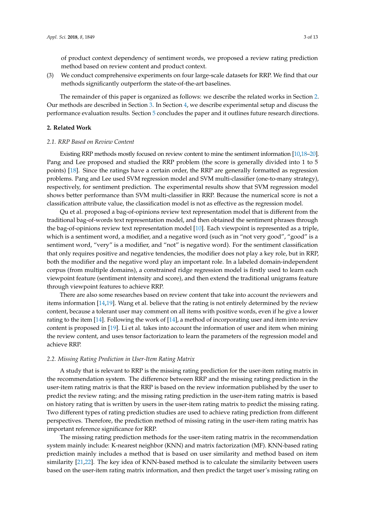of product context dependency of sentiment words, we proposed a review rating prediction method based on review content and product context.

(3) We conduct comprehensive experiments on four large-scale datasets for RRP. We find that our methods significantly outperform the state-of-the-art baselines.

The remainder of this paper is organized as follows: we describe the related works in Section [2.](#page-2-0) Our methods are described in Section [3.](#page-3-0) In Section [4,](#page-6-0) we describe experimental setup and discuss the performance evaluation results. Section [5](#page-10-0) concludes the paper and it outlines future research directions.

#### <span id="page-2-0"></span>**2. Related Work**

#### *2.1. RRP Based on Review Content*

Existing RRP methods mostly focused on review content to mine the sentiment information [\[10](#page-11-7)[,18–](#page-11-12)[20\]](#page-11-13). Pang and Lee proposed and studied the RRP problem (the score is generally divided into 1 to 5 points) [\[18\]](#page-11-12). Since the ratings have a certain order, the RRP are generally formatted as regression problems. Pang and Lee used SVM regression model and SVM multi-classifier (one-to-many strategy), respectively, for sentiment prediction. The experimental results show that SVM regression model shows better performance than SVM multi-classifier in RRP. Because the numerical score is not a classification attribute value, the classification model is not as effective as the regression model.

Qu et al. proposed a bag-of-opinions review text representation model that is different from the traditional bag-of-words text representation model, and then obtained the sentiment phrases through the bag-of-opinions review text representation model [\[10\]](#page-11-7). Each viewpoint is represented as a triple, which is a sentiment word, a modifier, and a negative word (such as in "not very good", "good" is a sentiment word, "very" is a modifier, and "not" is negative word). For the sentiment classification that only requires positive and negative tendencies, the modifier does not play a key role, but in RRP, both the modifier and the negative word play an important role. In a labeled domain-independent corpus (from multiple domains), a constrained ridge regression model is firstly used to learn each viewpoint feature (sentiment intensity and score), and then extend the traditional unigrams feature through viewpoint features to achieve RRP.

There are also some researches based on review content that take into account the reviewers and items information [\[14,](#page-11-8)[19\]](#page-11-14). Wang et al. believe that the rating is not entirely determined by the review content, because a tolerant user may comment on all items with positive words, even if he give a lower rating to the item [\[14\]](#page-11-8). Following the work of [\[14\]](#page-11-8), a method of incorporating user and item into review content is proposed in [\[19\]](#page-11-14). Li et al. takes into account the information of user and item when mining the review content, and uses tensor factorization to learn the parameters of the regression model and achieve RRP.

#### *2.2. Missing Rating Prediction in User-Item Rating Matrix*

A study that is relevant to RRP is the missing rating prediction for the user-item rating matrix in the recommendation system. The difference between RRP and the missing rating prediction in the user-item rating matrix is that the RRP is based on the review information published by the user to predict the review rating; and the missing rating prediction in the user-item rating matrix is based on history rating that is written by users in the user-item rating matrix to predict the missing rating. Two different types of rating prediction studies are used to achieve rating prediction from different perspectives. Therefore, the prediction method of missing rating in the user-item rating matrix has important reference significance for RRP.

The missing rating prediction methods for the user-item rating matrix in the recommendation system mainly include: K-nearest neighbor (KNN) and matrix factorization (MF). KNN-based rating prediction mainly includes a method that is based on user similarity and method based on item similarity [\[21,](#page-12-0)[22\]](#page-12-1). The key idea of KNN-based method is to calculate the similarity between users based on the user-item rating matrix information, and then predict the target user's missing rating on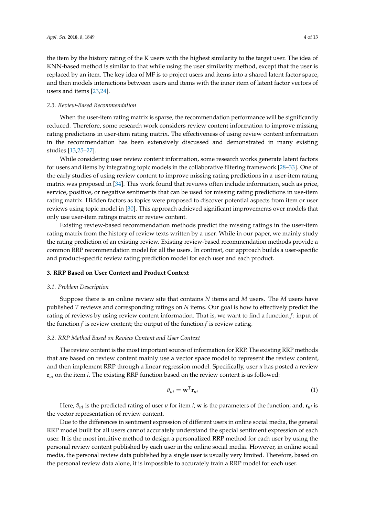the item by the history rating of the K users with the highest similarity to the target user. The idea of KNN-based method is similar to that while using the user similarity method, except that the user is replaced by an item. The key idea of MF is to project users and items into a shared latent factor space, and then models interactions between users and items with the inner item of latent factor vectors of users and items [\[23](#page-12-2)[,24\]](#page-12-3).

#### *2.3. Review-Based Recommendation*

When the user-item rating matrix is sparse, the recommendation performance will be significantly reduced. Therefore, some research work considers review content information to improve missing rating predictions in user-item rating matrix. The effectiveness of using review content information in the recommendation has been extensively discussed and demonstrated in many existing studies [\[13](#page-11-6)[,25](#page-12-4)[–27\]](#page-12-5).

While considering user review content information, some research works generate latent factors for users and items by integrating topic models in the collaborative filtering framework [\[28](#page-12-6)[–33\]](#page-12-7). One of the early studies of using review content to improve missing rating predictions in a user-item rating matrix was proposed in [\[34\]](#page-12-8). This work found that reviews often include information, such as price, service, positive, or negative sentiments that can be used for missing rating predictions in use-item rating matrix. Hidden factors as topics were proposed to discover potential aspects from item or user reviews using topic model in [\[30\]](#page-12-9). This approach achieved significant improvements over models that only use user-item ratings matrix or review content.

Existing review-based recommendation methods predict the missing ratings in the user-item rating matrix from the history of review texts written by a user. While in our paper, we mainly study the rating prediction of an existing review. Existing review-based recommendation methods provide a common RRP recommendation model for all the users. In contrast, our approach builds a user-specific and product-specific review rating prediction model for each user and each product.

# <span id="page-3-0"></span>**3. RRP Based on User Context and Product Context**

#### <span id="page-3-1"></span>*3.1. Problem Description*

Suppose there is an online review site that contains *N* items and *M* users. The *M* users have published *T* reviews and corresponding ratings on *N* items. Our goal is how to effectively predict the rating of reviews by using review content information. That is, we want to find a function *f*: input of the function *f* is review content; the output of the function *f* is review rating.

#### <span id="page-3-2"></span>*3.2. RRP Method Based on Review Content and User Context*

The review content is the most important source of information for RRP. The existing RRP methods that are based on review content mainly use a vector space model to represent the review content, and then implement RRP through a linear regression model. Specifically, user *u* has posted a review **r***ui* on the item *i*. The existing RRP function based on the review content is as followed:

$$
\hat{v}_{ui} = \mathbf{w}^T \mathbf{r}_{ui} \tag{1}
$$

Here,  $\hat{v}_{ui}$  is the predicted rating of user *u* for item *i*; **w** is the parameters of the function; and,  $\mathbf{r}_{ui}$  is the vector representation of review content.

Due to the differences in sentiment expression of different users in online social media, the general RRP model built for all users cannot accurately understand the special sentiment expression of each user. It is the most intuitive method to design a personalized RRP method for each user by using the personal review content published by each user in the online social media. However, in online social media, the personal review data published by a single user is usually very limited. Therefore, based on the personal review data alone, it is impossible to accurately train a RRP model for each user.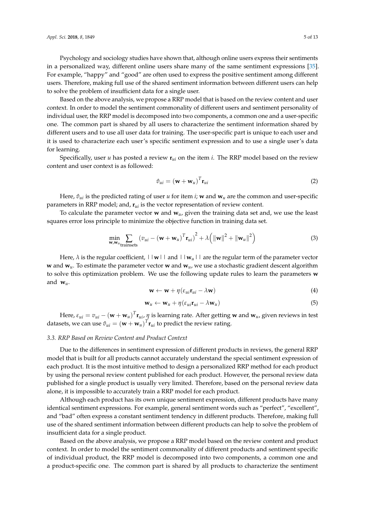Psychology and sociology studies have shown that, although online users express their sentiments in a personalized way, different online users share many of the same sentiment expressions [\[35\]](#page-12-10). For example, "happy" and "good" are often used to express the positive sentiment among different users. Therefore, making full use of the shared sentiment information between different users can help to solve the problem of insufficient data for a single user.

Based on the above analysis, we propose a RRP model that is based on the review content and user context. In order to model the sentiment commonality of different users and sentiment personality of individual user, the RRP model is decomposed into two components, a common one and a user-specific one. The common part is shared by all users to characterize the sentiment information shared by different users and to use all user data for training. The user-specific part is unique to each user and it is used to characterize each user's specific sentiment expression and to use a single user's data for learning.

Specifically, user *u* has posted a review **r***ui* on the item *i*. The RRP model based on the review content and user context is as followed:

$$
\hat{v}_{ui} = (\mathbf{w} + \mathbf{w}_u)^T \mathbf{r}_{ui}
$$
 (2)

Here,  $\hat{v}_{ui}$  is the predicted rating of user *u* for item *i*; **w** and  $w_u$  are the common and user-specific parameters in RRP model; and, **r***ui* is the vector representation of review content.

To calculate the parameter vector **w** and **w***u*, given the training data set and, we use the least squares error loss principle to minimize the objective function in training data set.

$$
\min_{\mathbf{w}, \mathbf{w}_u} \sum_{\text{transets}} \left( v_{ui} - (\mathbf{w} + \mathbf{w}_u)^T \mathbf{r}_{ui} \right)^2 + \lambda \left( \|\mathbf{w}\|^2 + \|\mathbf{w}_u\|^2 \right) \tag{3}
$$

Here,  $\lambda$  is the regular coefficient,  $|\mathbf{w}||$  and  $||\mathbf{w}_u||$  are the regular term of the parameter vector **w** and  $w_u$ . To estimate the parameter vector **w** and  $w_u$ , we use a stochastic gradient descent algorithm to solve this optimization problem. We use the following update rules to learn the parameters **w** and  $w_u$ .

$$
\mathbf{w} \leftarrow \mathbf{w} + \eta (\varepsilon_{ui} \mathbf{r}_{ui} - \lambda \mathbf{w}) \tag{4}
$$

$$
\mathbf{w}_u \leftarrow \mathbf{w}_u + \eta (\varepsilon_{ui} \mathbf{r}_{ui} - \lambda \mathbf{w}_u)
$$
 (5)

Here, ε<sub>ui</sub> =  $v_{ui}$  –  $(\mathbf{w} + \mathbf{w}_u)^T \mathbf{r}_{ui}$ ,  $\eta$  is learning rate. After getting **w** and  $\mathbf{w}_u$ , given reviews in test datasets, we can use  $\hat{v}_{ui} = (\mathbf{w} + \mathbf{w}_u)^T \mathbf{r}_{ui}$  to predict the review rating.

#### <span id="page-4-0"></span>*3.3. RRP Based on Review Content and Product Context*

Due to the differences in sentiment expression of different products in reviews, the general RRP model that is built for all products cannot accurately understand the special sentiment expression of each product. It is the most intuitive method to design a personalized RRP method for each product by using the personal review content published for each product. However, the personal review data published for a single product is usually very limited. Therefore, based on the personal review data alone, it is impossible to accurately train a RRP model for each product.

Although each product has its own unique sentiment expression, different products have many identical sentiment expressions. For example, general sentiment words such as "perfect", "excellent", and "bad" often express a constant sentiment tendency in different products. Therefore, making full use of the shared sentiment information between different products can help to solve the problem of insufficient data for a single product.

Based on the above analysis, we propose a RRP model based on the review content and product context. In order to model the sentiment commonality of different products and sentiment specific of individual product, the RRP model is decomposed into two components, a common one and a product-specific one. The common part is shared by all products to characterize the sentiment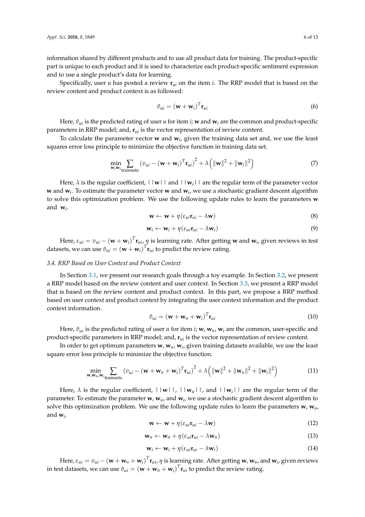information shared by different products and to use all product data for training. The product-specific part is unique to each product and it is used to characterize each product-specific sentiment expression and to use a single product's data for learning.

Specifically, user *u* has posted a review **r***ui* on the item *i*. The RRP model that is based on the review content and product context is as followed:

$$
\hat{v}_{ui} = (\mathbf{w} + \mathbf{w}_i)^T \mathbf{r}_{ui} \tag{6}
$$

Here,  $\hat{v}_{ui}$  is the predicted rating of user *u* for item *i*; **w** and  $\mathbf{w}_i$  are the common and product-specific parameters in RRP model; and, **r***ui* is the vector representation of review content.

To calculate the parameter vector **w** and **w***<sup>i</sup>* , given the training data set and, we use the least squares error loss principle to minimize the objective function in training data set.

$$
\min_{\mathbf{w}, \mathbf{w}_i} \sum_{\text{transets}} \left( v_{ui} - (\mathbf{w} + \mathbf{w}_i)^T \mathbf{r}_{ui} \right)^2 + \lambda \left( \|\mathbf{w}\|^2 + \|\mathbf{w}_i\|^2 \right) \tag{7}
$$

Here,  $\lambda$  is the regular coefficient,  $|\mathbf{w}||$  and  $|\mathbf{w}_i||$  are the regular term of the parameter vector **w** and **w***<sup>i</sup>* . To estimate the parameter vector **w** and **w***<sup>i</sup>* , we use a stochastic gradient descent algorithm to solve this optimization problem. We use the following update rules to learn the parameters **w** and **w***<sup>i</sup>* .

$$
\mathbf{w} \leftarrow \mathbf{w} + \eta (\varepsilon_{ui} \mathbf{r}_{ui} - \lambda \mathbf{w}) \tag{8}
$$

$$
\mathbf{w}_i \leftarrow \mathbf{w}_i + \eta (\varepsilon_{ui} \mathbf{r}_{ui} - \lambda \mathbf{w}_i)
$$
\n(9)

Here,  $\varepsilon_{ui} = v_{ui} - (\mathbf{w} + \mathbf{w}_i)^T \mathbf{r}_{ui}$ ,  $\eta$  is learning rate. After getting  $\mathbf{w}$  and  $\mathbf{w}_i$ , given reviews in test datasets, we can use  $\hat{v}_{ui} = (\mathbf{w} + \mathbf{w}_i)^T \mathbf{r}_{ui}$  to predict the review rating.

#### *3.4. RRP Based on User Context and Product Context*

In Section [3.1,](#page-3-1) we present our research goals through a toy example. In Section [3.2,](#page-3-2) we present a RRP model based on the review content and user context. In Section [3.3,](#page-4-0) we present a RRP model that is based on the review content and product context. In this part, we propose a RRP method based on user context and product context by integrating the user context information and the product context information.

$$
\hat{v}_{ui} = (\mathbf{w} + \mathbf{w}_u + \mathbf{w}_i)^T \mathbf{r}_{ui}
$$
\n(10)

Here,  $\hat{v}_{ui}$  is the predicted rating of user *u* for item *i*; **w**, **w**<sub>*u*</sub>, **w**<sub>*i*</sub> are the common, user-specific and product-specific parameters in RRP model; and, **r***ui* is the vector representation of review content.

In order to get optimum parameters **w**, **w***u*, **w***<sup>i</sup>* , given training datasets available, we use the least square error loss principle to minimize the objective function.

$$
\min_{\mathbf{w}, \mathbf{w}_u, \mathbf{w}_i} \sum_{\text{transsets}} \left( v_{ui} - (\mathbf{w} + \mathbf{w}_u + \mathbf{w}_i)^T \mathbf{r}_{ui} \right)^2 + \lambda \left( \|\mathbf{w}\|^2 + \|\mathbf{w}_u\|^2 + \|\mathbf{w}_i\|^2 \right) \tag{11}
$$

Here,  $\lambda$  is the regular coefficient,  $|\mathbf{w}_1|$ ,  $|\mathbf{w}_u|$ , and  $|\mathbf{w}_i|$  are the regular term of the parameter. To estimate the parameter **w**, **w***u*, and **w***<sup>i</sup>* , we use a stochastic gradient descent algorithm to solve this optimization problem. We use the following update rules to learn the parameters  $w, w_u$ and **w***<sup>i</sup>* .

$$
\mathbf{w} \leftarrow \mathbf{w} + \eta (\varepsilon_{ui} \mathbf{r}_{ui} - \lambda \mathbf{w}) \tag{12}
$$

$$
\mathbf{w}_u \leftarrow \mathbf{w}_u + \eta (\varepsilon_{ui} \mathbf{r}_{ui} - \lambda \mathbf{w}_u)
$$
\n(13)

$$
\mathbf{w}_i \leftarrow \mathbf{w}_i + \eta (\varepsilon_{ui} \mathbf{r}_{ui} - \lambda \mathbf{w}_i)
$$
\n(14)

Here,  $\varepsilon_{ui}=v_{ui}-(\mathbf{w}+\mathbf{w}_u+\mathbf{w}_i)^T\mathbf{r}_{ui}$ ,  $\eta$  is learning rate. After getting  $\mathbf{w}$ ,  $\mathbf{w}_u$ , and  $\mathbf{w}_i$ , given reviews in test datasets, we can use  $\hat{v}_{ui} = (\mathbf{w} + \mathbf{w}_u + \mathbf{w}_i)^T \mathbf{r}_{ui}$  to predict the review rating.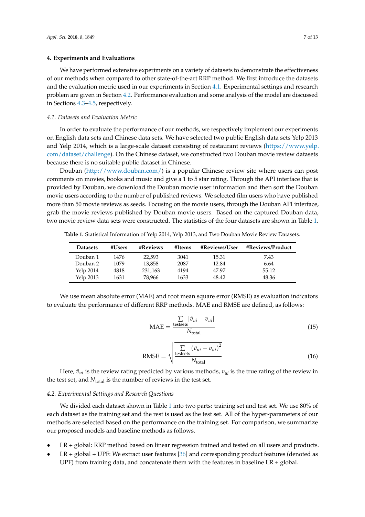#### <span id="page-6-0"></span>**4. Experiments and Evaluations**

We have performed extensive experiments on a variety of datasets to demonstrate the effectiveness of our methods when compared to other state-of-the-art RRP method. We first introduce the datasets and the evaluation metric used in our experiments in Section [4.1.](#page-6-1) Experimental settings and research problem are given in Section [4.2.](#page-6-2) Performance evaluation and some analysis of the model are discussed in Sections [4.3–](#page-7-0)[4.5,](#page-9-0) respectively.

## <span id="page-6-1"></span>*4.1. Datasets and Evaluation Metric*

In order to evaluate the performance of our methods, we respectively implement our experiments on English data sets and Chinese data sets. We have selected two public English data sets Yelp 2013 and Yelp 2014, which is a large-scale dataset consisting of restaurant reviews [\(https://www.yelp.](https://www.yelp.com/dataset/challenge) [com/dataset/challenge\)](https://www.yelp.com/dataset/challenge). On the Chinese dataset, we constructed two Douban movie review datasets because there is no suitable public dataset in Chinese.

Douban [\(http://www.douban.com/\)](http://www.douban.com/) is a popular Chinese review site where users can post comments on movies, books and music and give a 1 to 5 star rating. Through the API interface that is provided by Douban, we download the Douban movie user information and then sort the Douban movie users according to the number of published reviews. We selected film users who have published more than 50 movie reviews as seeds. Focusing on the movie users, through the Douban API interface, grab the movie reviews published by Douban movie users. Based on the captured Douban data, two movie review data sets were constructed. The statistics of the four datasets are shown in Table [1.](#page-6-3)

<span id="page-6-3"></span>**Table 1.** Statistical Information of Yelp 2014, Yelp 2013, and Two Douban Movie Review Datasets.

| <b>Datasets</b> | #Users | #Reviews | #Items | #Reviews/User | #Reviews/Product |
|-----------------|--------|----------|--------|---------------|------------------|
| Douban 1        | 1476   | 22.593   | 3041   | 15.31         | 7.43             |
| Douban 2        | 1079   | 13,858   | 2087   | 12.84         | 6.64             |
| Yelp 2014       | 4818   | 231,163  | 4194   | 47.97         | 55.12            |
| Yelp 2013       | 1631   | 78.966   | 1633   | 48.42         | 48.36            |

We use mean absolute error (MAE) and root mean square error (RMSE) as evaluation indicators to evaluate the performance of different RRP methods. MAE and RMSE are defined, as follows:

$$
MAE = \frac{\sum_{\text{testsets}} |\hat{\sigma}_{ui} - \sigma_{ui}|}{N_{\text{total}}}
$$
(15)

RMSE = 
$$
\sqrt{\frac{\sum_{\text{testsets}} (\hat{v}_{ui} - v_{ui})^2}{N_{\text{total}}}}
$$
(16)

Here,  $\hat{v}_{ui}$  is the review rating predicted by various methods,  $v_{ui}$  is the true rating of the review in the test set, and  $N_{total}$  is the number of reviews in the test set.

#### <span id="page-6-2"></span>*4.2. Experimental Settings and Research Questions*

We divided each dataset shown in Table [1](#page-6-3) into two parts: training set and test set. We use 80% of each dataset as the training set and the rest is used as the test set. All of the hyper-parameters of our methods are selected based on the performance on the training set. For comparison, we summarize our proposed models and baseline methods as follows.

- LR + global: RRP method based on linear regression trained and tested on all users and products.
- $LR + global + UPF$ : We extract user features [\[36\]](#page-12-11) and corresponding product features (denoted as UPF) from training data, and concatenate them with the features in baseline  $LR + global$ .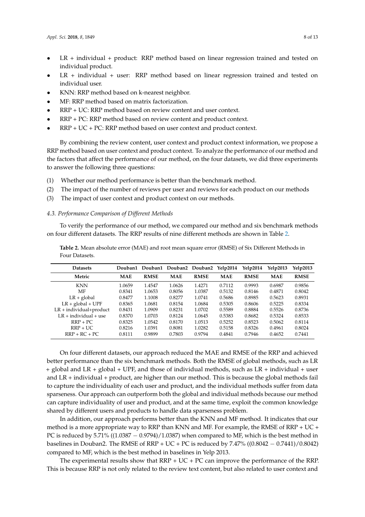- $LR + individual + product: RRP$  method based on linear regression trained and tested on individual product.
- $LR +$  individual + user: RRP method based on linear regression trained and tested on individual user.
- KNN: RRP method based on k-nearest neighbor.
- MF: RRP method based on matrix factorization.
- RRP + UC: RRP method based on review content and user context.
- RRP + PC: RRP method based on review content and product context.
- RRP + UC + PC: RRP method based on user context and product context.

By combining the review content, user context and product context information, we propose a RRP method based on user context and product context. To analyze the performance of our method and the factors that affect the performance of our method, on the four datasets, we did three experiments to answer the following three questions:

- (1) Whether our method performance is better than the benchmark method.
- (2) The impact of the number of reviews per user and reviews for each product on our methods
- (3) The impact of user context and product context on our methods.

#### <span id="page-7-0"></span>*4.3. Performance Comparison of Different Methods*

To verify the performance of our method, we compared our method and six benchmark methods on four different datasets. The RRP results of nine different methods are shown in Table [2.](#page-7-1)

<span id="page-7-1"></span>**Table 2.** Mean absolute error (MAE) and root mean square error (RMSE) of Six Different Methods in Four Datasets.

| <b>Datasets</b>           |            | Douban1 Douban1 |            | Douban2 Douban2 Yelp2014 |            | Yelp2014    | Yelp2013   | Yelp2013    |
|---------------------------|------------|-----------------|------------|--------------------------|------------|-------------|------------|-------------|
| Metric                    | <b>MAE</b> | <b>RMSE</b>     | <b>MAE</b> | <b>RMSE</b>              | <b>MAE</b> | <b>RMSE</b> | <b>MAE</b> | <b>RMSE</b> |
| <b>KNN</b>                | 1.0659     | 1.4547          | 1.0626     | 1.4271                   | 0.7112     | 0.9993      | 0.6987     | 0.9856      |
| MF                        | 0.8341     | 1.0653          | 0.8056     | 1.0387                   | 0.5132     | 0.8146      | 0.4871     | 0.8042      |
| $LR + global$             | 0.8477     | 1.1008          | 0.8277     | 1.0741                   | 0.5686     | 0.8985      | 0.5623     | 0.8931      |
| $LR + global + UPF$       | 0.8365     | 1.0681          | 0.8154     | 1.0684                   | 0.5305     | 0.8606      | 0.5225     | 0.8334      |
| $LR + individual+product$ | 0.8431     | 1.0909          | 0.8231     | 1.0702                   | 0.5589     | 0.8884      | 0.5526     | 0.8736      |
| $LR + individual + use$   | 0.8370     | 1.0703          | 0.8124     | 1.0645                   | 0.5383     | 0.8682      | 0.5324     | 0.8533      |
| $RRP + PC$                | 0.8325     | 1.0542          | 0.8170     | 1.0513                   | 0.5252     | 0.8523      | 0.5062     | 0.8114      |
| $RRP + UC$                | 0.8216     | 1.0391          | 0.8081     | 1.0282                   | 0.5158     | 0.8326      | 0.4961     | 0.8024      |
| $RRP + RC + PC$           | 0.8111     | 0.9899          | 0.7803     | 0.9794                   | 0.4841     | 0.7946      | 0.4652     | 0.7441      |

On four different datasets, our approach reduced the MAE and RMSE of the RRP and achieved better performance than the six benchmark methods. Both the RMSE of global methods, such as LR + global and LR + global + UPF, and those of individual methods, such as LR + individual + user and LR + individual + product, are higher than our method. This is because the global methods fail to capture the individuality of each user and product, and the individual methods suffer from data sparseness. Our approach can outperform both the global and individual methods because our method can capture individuality of user and product, and at the same time, exploit the common knowledge shared by different users and products to handle data sparseness problem.

In addition, our approach performs better than the KNN and MF method. It indicates that our method is a more appropriate way to RRP than KNN and MF. For example, the RMSE of RRP + UC + PC is reduced by 5.71% ((1.0387 − 0.9794)/1.0387) when compared to MF, which is the best method in baselines in Douban2. The RMSE of RRP + UC + PC is reduced by  $7.47\%$  ((0.8042 – 0.7441)/0.8042) compared to MF, which is the best method in baselines in Yelp 2013.

The experimental results show that  $RRP + UC + PC$  can improve the performance of the RRP. This is because RRP is not only related to the review text content, but also related to user context and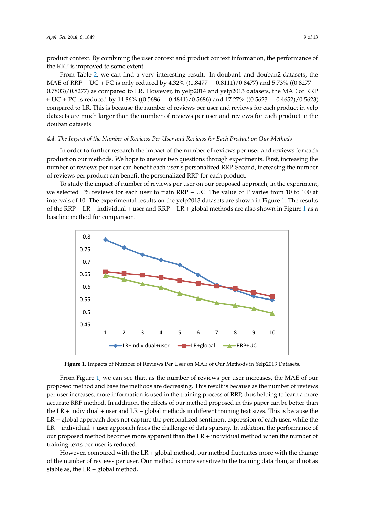product context. By combining the user context and product context information, the performance of product context. By combining the user context and product context information, the performance of the RRP is improved to some extent. the RRP is improved to some extent.

From Table 2, we can find a very interesting result. In douban1 and douban2 datasets, the From Table [2](#page-7-1), we can find a very interesting result. In douban1 and douban2 datasets, the MAE of RRP + UC + PC is only reduced by 4.32% ((0.8477 − 0.8111)/0.8477) and 5.73% ((0.8277 − 0.7803)/0.8277) as compared to LR. However, in yelp2014 and yelp2013 datasets, the MAE of RRP 0.7803)/0.8277) as compared to LR. However, in yelp2014 and yelp2013 datasets, the MAE of RRP + + UC + PC is reduced by 14.86% ((0.5686 − 0.4841)/0.5686) and 17.27% ((0.5623 − 0.4652)/0.5623) UC + PC is reduced by 14.86% ((0.5686 − 0.4841)/0.5686) and 17.27% ((0.5623 − 0.4652)/0.5623) compared to LR. This is because the number of reviews per user and reviews for each product in yelp compared to LR. This is because the number of reviews per user and reviews for each product in datasets are much larger than the number of reviews per user and reviews for each product in the yelp datasets are much larger than the number of reviews per user and reviews for each product in the douban datasets. douban datasets.

# *4.4. The Impact of the Number of Reviews Per User and Reviews for Each Product on Our Methods 4.4. The Impact of the Number of Reviews Per User and Reviews for Each Product on Our Methods*

In order to further research the impact of the number of reviews per user and reviews for each In order to further research the impact of the number of reviews per user and reviews for each product on our methods. We hope to answer two questions through experiments. First, increasing the product on our methods. We hope to answer two questions through experiments. First, increasing number of reviews per user can benefit each user's personalized RRP. Second, increasing the number of reviews per product can benefit the personalized RRP for each product.

To study the impact of number of reviews per user on our proposed approach, in the experiment, To study the impact of number of reviews per user on our proposed approach, in the we selected P% reviews for each user to train  $\text{RRP} + \text{UC}$ . The value of P varies from 10 to 100 at intervals of 10. The experimental results o[n](#page-8-0) the yelp2013 datasets are shown in Figure 1. The results of the RRP + LR + individual + user and RRP + LR + global methods are also sho[w](#page-8-0)n in Figure 1 as a baseline method for comparison.

<span id="page-8-0"></span>

**Figure 1.** Impacts of Number of Reviews Per User on MAE of Our Methods in Yelp2013 Datasets. **Figure 1.** Impacts of Number of Reviews Per User on MAE of Our Methods in Yelp2013 Datasets.

From Figure 1, we can see that, as the number of reviews per user increases, the MAE of our From Figure [1,](#page-8-0) we can see that, as the number of reviews per user increases, the MAE of our proposed method and baseline methods are decreasing. This result is because as the number of proposed method and baseline methods are decreasing. This result is because as the number of reviews per user increases, more information is used in the training process of RRP, thus helping to learn a more accurate RRP method. In addition, the effects of our method proposed in this paper can be better than the LR + individual + user and LR + global methods in different training text sizes. This is because the  $\text{LR}$  + global approach does not capture the personalized sentiment expression of each user, while the  $\text{LR}$  + individual + user approach faces the challenge of data sparsity. In addition, the performance of our proposed method becomes more apparent than the LR + individual method when the number of training texts per user is reduced.

However, compared with the  $LR +$  global method, our method fluctuates more with the change of the number of reviews per user. Our method is more sensitive to the training data than, and not as stable as, the  $LR +$  global method.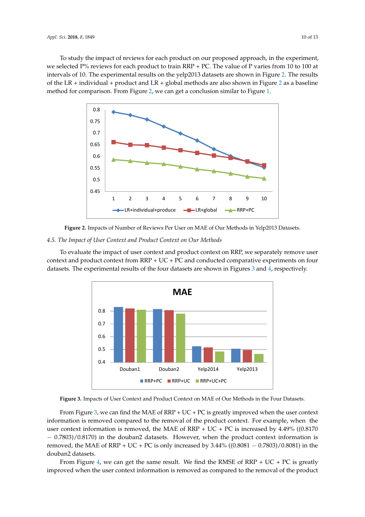To study the impact of reviews for each product on our proposed approach, in the experiment, we selected P% reviews for each product to train RRP + PC. The value of P varies from 10 to 100 at intervals of 10. The experimental results on the yelp2013 datasets are shown in Figure 2. The results Intervals of the LR + individual + product and LR + global methods are also shown in Figure 2 as a baseline method for comparison. From Figur[e 2](#page-8-0), we can get a conclusion similar to Figure 1. e LR + individual + product and LR + global methods are also shown in Figure 2 as a base and the impact of reviews for each

<span id="page-9-1"></span>

Fi<mark>gure 2.</mark> Impacts of Number of Reviews Per User on MAE of Our Methods in Yelp2013 Datasets.

#### <span id="page-9-0"></span>*4.5. The Impact of User Context and Product Context on Our Methods 4.5. The Impact of User Context and Product Context on Our Methods 4.5. The Impact of User Context and Product Context on Our Methods*

<span id="page-9-2"></span>To evaluate the impact of user context and product context on RRP, we separately remove user To evaluate the impact of user context and product context on RRP, we separately remove user context and product context from RRP + UC + PC and conducted comparative experiments on four datasets. The experimental results of the four datasets are shown in Figures [3](#page-9-2) and [4,](#page-10-1) respectively. context and product context from RRP + UC + PC and conducted comparative experiments on four



Figure 3. Impacts of User Context and Product Context on MAE of Our Methods in the Four Datasets.

From Figure [3,](#page-9-2) we can find the MAE of  $RRP + UC + PC$  is greatly improved when the user context information is removed compared to the removal of the product context. For example, when the user context information is removed, the MAE of  $RRP + UC + PC$  is increased by 4.49% ((0.8170) − 0.7803)/0.8170) in the douban2 datasets. However, when the product context information is removed, the MAE of RRP + UC + PC is only increased by  $3.44\%$  ((0.8081 – 0.7803)/0.8081) in the douban2 datasets.

From Figure [4,](#page-10-1) we can get the same result. We find the RMSE of RRP +  $UC$  +  $PC$  is greatly improved when the user context information is removed as compared to the removal of the product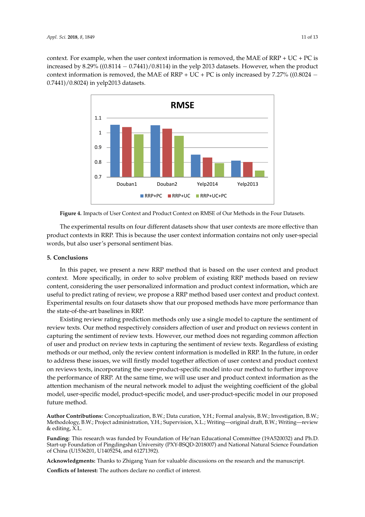context. For example, when the user context information is removed, the MAE of  $\text{RRP} + \text{UC} + \text{PC}$  is increased by  $8.29\%$  ((0.8114  $-$  0.7441)/0.8114) in the yelp 2013 datasets. However, when the product context information is removed, the MAE of RRP + UC + PC is only increased by 7.27% ((0.8024  $-$ 0.7441)/0.8024) in yelp2013 datasets. 0.7441)/0.8024) in yelp2013 datasets.  $\frac{1}{100}$   $\frac{1}{100}$   $\frac{1}{100}$   $\frac{1}{100}$   $\frac{1}{100}$   $\frac{1}{100}$   $\frac{1}{100}$   $\frac{1}{100}$   $\frac{1}{100}$   $\frac{1}{100}$   $\frac{1}{100}$   $\frac{1}{100}$   $\frac{1}{100}$   $\frac{1}{100}$   $\frac{1}{100}$   $\frac{1}{100}$   $\frac{1}{100}$   $\frac{1}{100}$   $\frac{1$ 

<span id="page-10-1"></span>

**Figure 4.** Impacts of User Context and Product Context on RMSE of Our Methods in the Four **Figure 4.** Impacts of User Context and Product Context on RMSE of Our Methods in the Four Datasets.

product contexts in RRP. This is because the user context information contains not only user-special than product contexts in RRP. This is because the user context information contains not only words, but also user's personal sentiment bias.  $\mathbf{u}$ The experimental results on four different datasets show that user contexts are more effective than

## <span id="page-10-0"></span>**5. Conclusions**

In this paper, we present a new rate method that is based on the user context and product context. More specifically, in order to solve problem of existing RRP methods based on review context. More specifically, in order to solve problem of existing RRP methods based on review content, considering the user personalized information and product context information, which are content, considering the user personalized information and product context information, which are useful to predict rating of review, we propose a RRP method based user context and product useful to predict rating of review, we propose a RRP method based user context and product context. Experimental results on four datasets show that our proposed methods have more performance than the state-of-the-art baselines in RRP. In this paper, we present a new RRP method that is based on the user context and product

Existing review rating prediction methods only use a single model to capture the sentiment of Existing review rating prediction methods only use a single model to capture the sentiment of review texts. Our method respectively considers affection of user and product on reviews content in capturing the sentiment of review texts. However, our method does not regarding common affection capturing the sentiment of review texts. However, our method does not regarding common affection of user and product on review texts in capturing the sentiment of review texts. Regardless of existing of user and product on review texts in capturing the sentiment of review texts. Regardless of existing methods of the review content in the region in the result in the future in RRP. In the future, is of the future, in  $\mathcal{L}$ methods or our method, only the review content information is modelled in RRP. In the future, in order to address these issues, we will firstly model together affection of user context and product context on reviews texts, incorporating the user-product-specific model into our method to further improve the performance of RRP. At the same time, we will use user and product context information as the attention mechanism of the neural network model to adjust the weighting coefficient of the global model, user-specific model, product-specific model, and user-product-specific model in our proposed future method.

**Author Contributions:** Conceptualization, B.W.; Data curation, Y.H.; Formal analysis, B.W.; Investigation, B.W.; Methodology, B.W.; Project administration, Y.H.; Supervision, X.L.; Writing—original draft, B.W.; Writing—review & editing, X.L.

**Funding:** This research was funded by Foundation of He'nan Educational Committee (19A520032) and Ph.D. Start-up Foundation of Pingdingshan University (PXY-BSQD-2018007) and National Natural Science Foundation of China (U1536201, U1405254, and 61271392).

**Acknowledgments:** Thanks to Zhigang Yuan for valuable discussions on the research and the manuscript.

**Conflicts of Interest:** The authors declare no conflict of interest.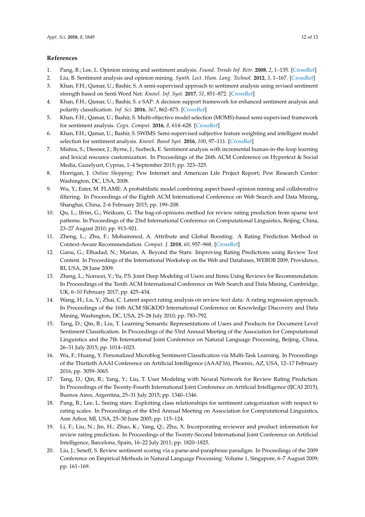# **References**

- <span id="page-11-0"></span>1. Pang, B.; Lee, L. Opinion mining and sentiment analysis. *Found. Trends Inf. Retr.* **2008**, *2*, 1–135. [\[CrossRef\]](http://dx.doi.org/10.1561/1500000011)
- <span id="page-11-1"></span>2. Liu, B. Sentiment analysis and opinion mining. *Synth. Lect. Hum. Lang. Technol.* **2012**, *5*, 1–167. [\[CrossRef\]](http://dx.doi.org/10.2200/S00416ED1V01Y201204HLT016)
- <span id="page-11-2"></span>3. Khan, F.H.; Qamar, U.; Bashir, S. A semi-supervised approach to sentiment analysis using revised sentiment strength based on Senti Word Net. *Knowl. Inf. Syst.* **2017**, *51*, 851–872. [\[CrossRef\]](http://dx.doi.org/10.1007/s10115-016-0993-1)
- 4. Khan, F.H.; Qamar, U.; Bashir, S. e SAP: A decision support framework for enhanced sentiment analysis and polarity classification. *Inf. Sci.* **2016**, *367*, 862–873. [\[CrossRef\]](http://dx.doi.org/10.1016/j.ins.2016.07.028)
- 5. Khan, F.H.; Qamar, U.; Bashir, S. Multi-objective model selection (MOMS)-based semi-supervised framework for sentiment analysis. *Cogn. Comput.* **2016**, *8*, 614–628. [\[CrossRef\]](http://dx.doi.org/10.1007/s12559-016-9386-8)
- 6. Khan, F.H.; Qamar, U.; Bashir, S. SWIMS: Semi-supervised subjective feature weighting and intelligent model selection for sentiment analysis. *Knowl. Based Syst.* **2016**, *100*, 97–111. [\[CrossRef\]](http://dx.doi.org/10.1016/j.knosys.2016.02.011)
- <span id="page-11-3"></span>7. Mishra, S.; Diesner, J.; Byrne, J.; Surbeck, E. Sentiment analysis with incremental human-in-the-loop learning and lexical resource customization. In Proceedings of the 26th ACM Conference on Hypertext & Social Media, Guzelyurt, Cyprus, 1–4 September 2015; pp. 323–325.
- <span id="page-11-4"></span>8. Horrigan, J. *Online Shopping*; Pew Internet and American Life Project Report; Pew Research Center: Washington, DC, USA, 2008.
- <span id="page-11-5"></span>9. Wu, Y.; Ester, M. FLAME: A probabilistic model combining aspect based opinion mining and collaborative filtering. In Proceedings of the Eighth ACM International Conference on Web Search and Data Mining, Shanghai, China, 2–6 February 2015; pp. 199–208.
- <span id="page-11-7"></span>10. Qu, L.; Ifrim, G.; Weikum, G. The bag-of-opinions method for review rating prediction from sparse text patterns. In Proceedings of the 23rd International Conference on Computational Linguistics, Beijing, China, 23–27 August 2010; pp. 913–921.
- 11. Zheng, L.; Zhu, F.; Mohammed, A. Attribute and Global Boosting: A Rating Prediction Method in Context-Aware Recommendation. *Comput. J.* **2018**, *60*, 957–968. [\[CrossRef\]](http://dx.doi.org/10.1093/comjnl/bxw016)
- 12. Ganu, G.; Elhadad, N.; Marian, A. Beyond the Stars: Improving Rating Predictions using Review Text Content. In Proceedings of the International Workshop on the Web and Databases, WEBDB 2009, Providence, RI, USA, 28 June 2009.
- <span id="page-11-6"></span>13. Zheng, L.; Noroozi, V.; Yu, P.S. Joint Deep Modeling of Users and Items Using Reviews for Recommendation. In Proceedings of the Tenth ACM International Conference on Web Search and Data Mining, Cambridge, UK, 6–10 February 2017; pp. 425–434.
- <span id="page-11-8"></span>14. Wang, H.; Lu, Y.; Zhai, C. Latent aspect rating analysis on review text data: A rating regression approach. In Proceedings of the 16th ACM SIGKDD International Conference on Knowledge Discovery and Data Mining, Washington, DC, USA, 25–28 July 2010; pp. 783–792.
- <span id="page-11-10"></span>15. Tang, D.; Qin, B.; Liu, T. Learning Semantic Representations of Users and Products for Document Level Sentiment Classification. In Proceedings of the 53rd Annual Meeting of the Association for Computational Linguistics and the 7th International Joint Conference on Natural Language Processing, Beijing, China, 26–31 July 2015; pp. 1014–1023.
- <span id="page-11-11"></span>16. Wu, F.; Huang, Y. Personalized Microblog Sentiment Classification via Multi-Task Learning. In Proceedings of the Thirtieth AAAI Conference on Artificial Intelligence (AAAI'16), Phoenix, AZ, USA, 12–17 February 2016; pp. 3059–3065.
- <span id="page-11-9"></span>17. Tang, D.; Qin, B.; Yang, Y.; Liu, T. User Modeling with Neural Network for Review Rating Prediction. In Proceedings of the Twenty-Fourth International Joint Conference on Artificial Intelligence (IJCAI 2015), Buenos Aires, Argentina, 25–31 July 2015; pp. 1340–1346.
- <span id="page-11-12"></span>18. Pang, B.; Lee, L. Seeing stars: Exploiting class relationships for sentiment categorization with respect to rating scales. In Proceedings of the 43rd Annual Meeting on Association for Computational Linguistics, Ann Arbor, MI, USA, 25–30 June 2005; pp. 115–124.
- <span id="page-11-14"></span>19. Li, F.; Liu, N.; Jin, H.; Zhao, K.; Yang, Q.; Zhu, X. Incorporating reviewer and product information for review rating prediction. In Proceedings of the Twenty-Second International Joint Conference on Artificial Intelligence, Barcelona, Spain, 16–22 July 2011; pp. 1820–1825.
- <span id="page-11-13"></span>20. Liu, J.; Seneff, S. Review sentiment scoring via a parse-and-paraphrase paradigm. In Proceedings of the 2009 Conference on Empirical Methods in Natural Language Processing: Volume 1, Singapore, 6–7 August 2009; pp. 161–169.